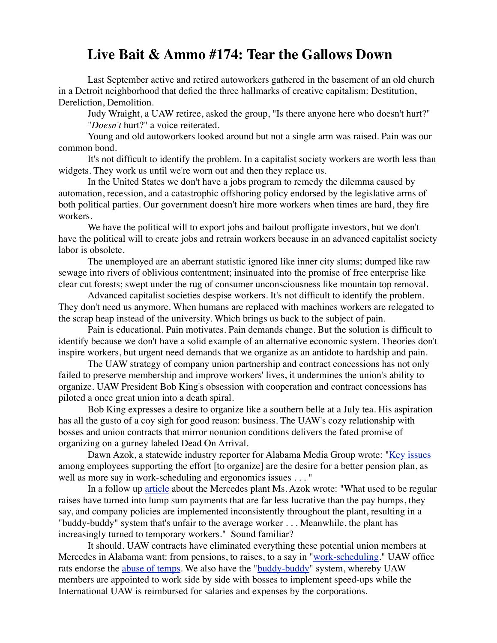## **Live Bait & Ammo #174: Tear the Gallows Down**

Last September active and retired autoworkers gathered in the basement of an old church in a Detroit neighborhood that defied the three hallmarks of creative capitalism: Destitution, Dereliction, Demolition.

Judy Wraight, a UAW retiree, asked the group, "Is there anyone here who doesn't hurt?" "*Doesn't* hurt?" a voice reiterated.

Young and old autoworkers looked around but not a single arm was raised. Pain was our common bond.

It's not difficult to identify the problem. In a capitalist society workers are worth less than widgets. They work us until we're worn out and then they replace us.

In the United States we don't have a jobs program to remedy the dilemma caused by automation, recession, and a catastrophic offshoring policy endorsed by the legislative arms of both political parties. Our government doesn't hire more workers when times are hard, they fire workers.

We have the political will to export jobs and bailout profligate investors, but we don't have the political will to create jobs and retrain workers because in an advanced capitalist society labor is obsolete.

The unemployed are an aberrant statistic ignored like inner city slums; dumped like raw sewage into rivers of oblivious contentment; insinuated into the promise of free enterprise like clear cut forests; swept under the rug of consumer unconsciousness like mountain top removal.

Advanced capitalist societies despise workers. It's not difficult to identify the problem. They don't need us anymore. When humans are replaced with machines workers are relegated to the scrap heap instead of the university. Which brings us back to the subject of pain.

Pain is educational. Pain motivates. Pain demands change. But the solution is difficult to identify because we don't have a solid example of an alternative economic system. Theories don't inspire workers, but urgent need demands that we organize as an antidote to hardship and pain.

The UAW strategy of company union partnership and contract concessions has not only failed to preserve membership and improve workers' lives, it undermines the union's ability to organize. UAW President Bob King's obsession with cooperation and contract concessions has piloted a once great union into a death spiral.

Bob King expresses a desire to organize like a southern belle at a July tea. His aspiration has all the gusto of a coy sigh for good reason: business. The UAW's cozy relationship with bosses and union contracts that mirror nonunion conditions delivers the fated promise of organizing on a gurney labeled Dead On Arrival.

Dawn Azok, a statewide industry reporter for Alabama Media Group wrote: ["Key issues](http://www.al.com/business/index.ssf/2013/06/bentley_alabamas_mercedes-benz.html) among employees supporting the effort [to organize] are the desire for a better pension plan, as well as more say in work-scheduling and ergonomics issues . . . "

In a follow up [article](http://www.al.com/business/index.ssf/2013/07/division_over_union_uaw_push_t.html) about the Mercedes plant Ms. Azok wrote: "What used to be regular raises have turned into lump sum payments that are far less lucrative than the pay bumps, they say, and company policies are implemented inconsistently throughout the plant, resulting in a "buddy-buddy" system that's unfair to the average worker . . . Meanwhile, the plant has increasingly turned to temporary workers." Sound familiar?

It should. UAW contracts have eliminated everything these potential union members at Mercedes in Alabama want: from pensions, to raises, to a say in ["work-scheduling.](http://www.labornotes.org/blogs/2013/02/update-chrysler-warren-stamping-workers-still-fighting-alternative-work-schedules)" UAW office rats endorse the [abuse of temps](http://voiceofdetroit.net/2013/05/27/are-temp-workers-of-ford-affiliates-being-sold-out-by-uaw/). We also have the ["buddy-buddy](http://www.labornotes.org/2001/06/uaw-members-expose-widespread-corruption)" system, whereby UAW members are appointed to work side by side with bosses to implement speed-ups while the International UAW is reimbursed for salaries and expenses by the corporations.